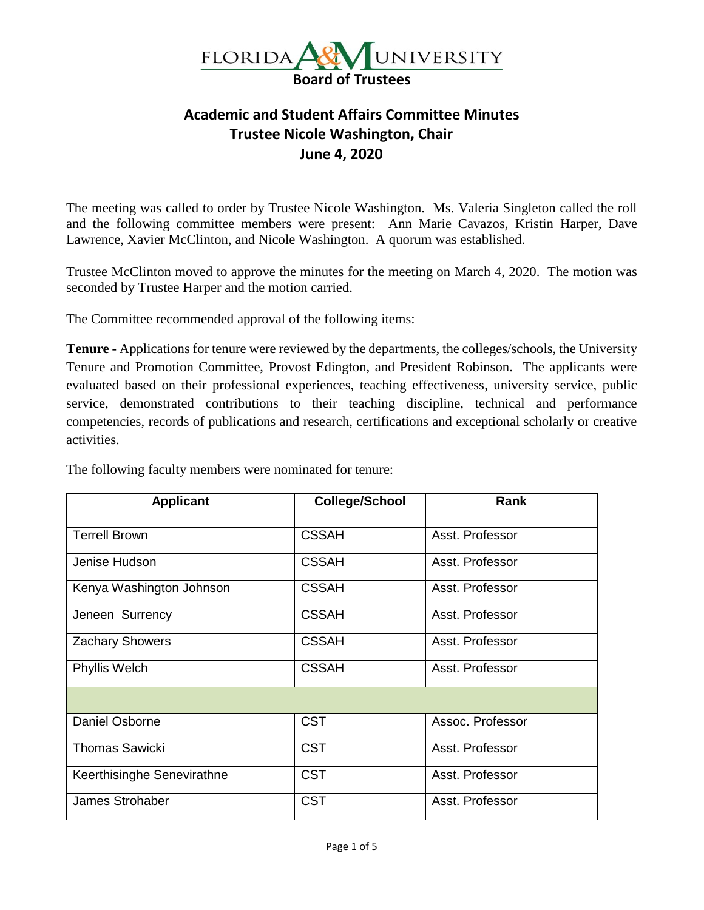

## **Academic and Student Affairs Committee Minutes Trustee Nicole Washington, Chair June 4, 2020**

The meeting was called to order by Trustee Nicole Washington. Ms. Valeria Singleton called the roll and the following committee members were present: Ann Marie Cavazos, Kristin Harper, Dave Lawrence, Xavier McClinton, and Nicole Washington. A quorum was established.

Trustee McClinton moved to approve the minutes for the meeting on March 4, 2020. The motion was seconded by Trustee Harper and the motion carried.

The Committee recommended approval of the following items:

**Tenure -** Applications for tenure were reviewed by the departments, the colleges/schools, the University Tenure and Promotion Committee, Provost Edington, and President Robinson. The applicants were evaluated based on their professional experiences, teaching effectiveness, university service, public service, demonstrated contributions to their teaching discipline, technical and performance competencies, records of publications and research, certifications and exceptional scholarly or creative activities.

| <b>Applicant</b>           | <b>College/School</b> | <b>Rank</b>      |
|----------------------------|-----------------------|------------------|
| <b>Terrell Brown</b>       | <b>CSSAH</b>          | Asst. Professor  |
| Jenise Hudson              | <b>CSSAH</b>          | Asst. Professor  |
| Kenya Washington Johnson   | <b>CSSAH</b>          | Asst. Professor  |
| Jeneen Surrency            | <b>CSSAH</b>          | Asst. Professor  |
| <b>Zachary Showers</b>     | <b>CSSAH</b>          | Asst. Professor  |
| Phyllis Welch              | <b>CSSAH</b>          | Asst. Professor  |
|                            |                       |                  |
| Daniel Osborne             | <b>CST</b>            | Assoc. Professor |
| <b>Thomas Sawicki</b>      | <b>CST</b>            | Asst. Professor  |
| Keerthisinghe Senevirathne | <b>CST</b>            | Asst. Professor  |
| James Strohaber            | <b>CST</b>            | Asst. Professor  |

The following faculty members were nominated for tenure: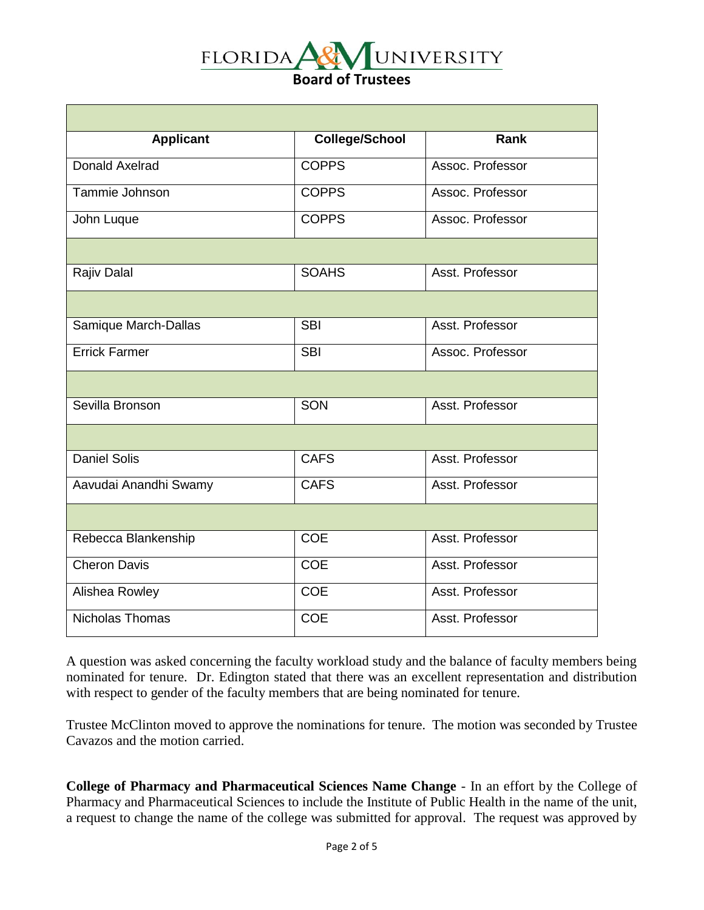

| <b>Applicant</b>      | <b>College/School</b> | Rank             |
|-----------------------|-----------------------|------------------|
| <b>Donald Axelrad</b> | <b>COPPS</b>          | Assoc. Professor |
| Tammie Johnson        | <b>COPPS</b>          | Assoc. Professor |
| John Luque            | <b>COPPS</b>          | Assoc. Professor |
|                       |                       |                  |
| Rajiv Dalal           | <b>SOAHS</b>          | Asst. Professor  |
|                       |                       |                  |
| Samique March-Dallas  | <b>SBI</b>            | Asst. Professor  |
| <b>Errick Farmer</b>  | <b>SBI</b>            | Assoc. Professor |
|                       |                       |                  |
| Sevilla Bronson       | SON                   | Asst. Professor  |
|                       |                       |                  |
| <b>Daniel Solis</b>   | <b>CAFS</b>           | Asst. Professor  |
| Aavudai Anandhi Swamy | <b>CAFS</b>           | Asst. Professor  |
|                       |                       |                  |
| Rebecca Blankenship   | <b>COE</b>            | Asst. Professor  |
| <b>Cheron Davis</b>   | <b>COE</b>            | Asst. Professor  |
| Alishea Rowley        | <b>COE</b>            | Asst. Professor  |
| Nicholas Thomas       | <b>COE</b>            | Asst. Professor  |

A question was asked concerning the faculty workload study and the balance of faculty members being nominated for tenure. Dr. Edington stated that there was an excellent representation and distribution with respect to gender of the faculty members that are being nominated for tenure.

Trustee McClinton moved to approve the nominations for tenure. The motion was seconded by Trustee Cavazos and the motion carried.

**College of Pharmacy and Pharmaceutical Sciences Name Change** - In an effort by the College of Pharmacy and Pharmaceutical Sciences to include the Institute of Public Health in the name of the unit, a request to change the name of the college was submitted for approval. The request was approved by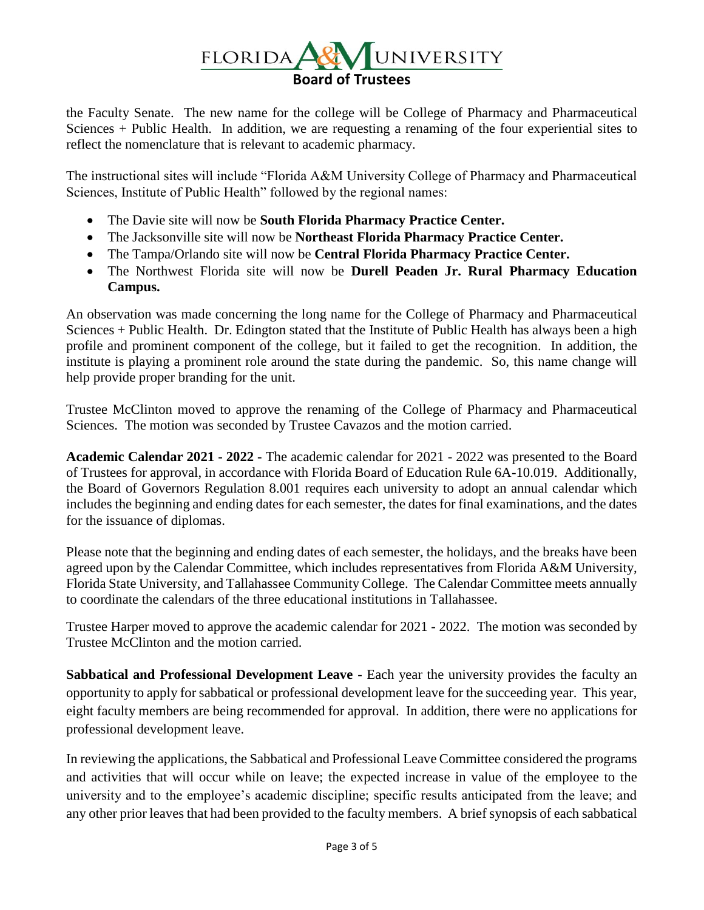

the Faculty Senate. The new name for the college will be College of Pharmacy and Pharmaceutical Sciences + Public Health. In addition, we are requesting a renaming of the four experiential sites to reflect the nomenclature that is relevant to academic pharmacy.

The instructional sites will include "Florida A&M University College of Pharmacy and Pharmaceutical Sciences, Institute of Public Health" followed by the regional names:

- The Davie site will now be **South Florida Pharmacy Practice Center.**
- The Jacksonville site will now be **Northeast Florida Pharmacy Practice Center.**
- The Tampa/Orlando site will now be **Central Florida Pharmacy Practice Center.**
- The Northwest Florida site will now be **Durell Peaden Jr. Rural Pharmacy Education Campus.**

An observation was made concerning the long name for the College of Pharmacy and Pharmaceutical Sciences + Public Health. Dr. Edington stated that the Institute of Public Health has always been a high profile and prominent component of the college, but it failed to get the recognition. In addition, the institute is playing a prominent role around the state during the pandemic. So, this name change will help provide proper branding for the unit.

Trustee McClinton moved to approve the renaming of the College of Pharmacy and Pharmaceutical Sciences. The motion was seconded by Trustee Cavazos and the motion carried.

**Academic Calendar 2021 - 2022 -** The academic calendar for 2021 - 2022 was presented to the Board of Trustees for approval, in accordance with Florida Board of Education Rule 6A-10.019. Additionally, the Board of Governors Regulation 8.001 requires each university to adopt an annual calendar which includes the beginning and ending dates for each semester, the dates for final examinations, and the dates for the issuance of diplomas.

Please note that the beginning and ending dates of each semester, the holidays, and the breaks have been agreed upon by the Calendar Committee, which includes representatives from Florida A&M University, Florida State University, and Tallahassee Community College. The Calendar Committee meets annually to coordinate the calendars of the three educational institutions in Tallahassee.

Trustee Harper moved to approve the academic calendar for 2021 - 2022. The motion was seconded by Trustee McClinton and the motion carried.

**Sabbatical and Professional Development Leave** - Each year the university provides the faculty an opportunity to apply for sabbatical or professional development leave for the succeeding year. This year, eight faculty members are being recommended for approval. In addition, there were no applications for professional development leave.

In reviewing the applications, the Sabbatical and Professional Leave Committee considered the programs and activities that will occur while on leave; the expected increase in value of the employee to the university and to the employee's academic discipline; specific results anticipated from the leave; and any other prior leaves that had been provided to the faculty members. A brief synopsis of each sabbatical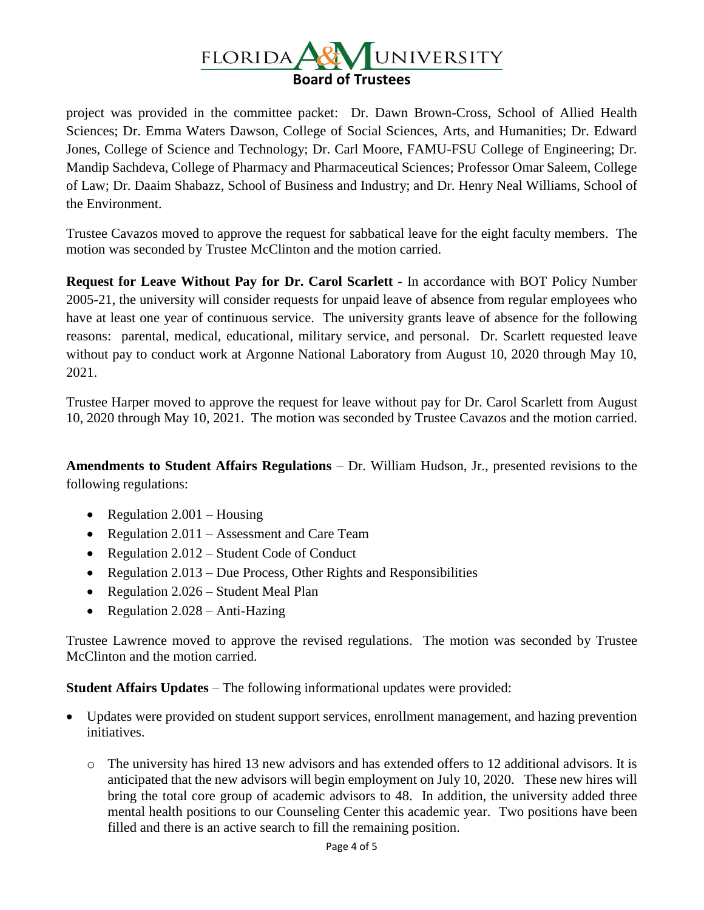

project was provided in the committee packet: Dr. Dawn Brown-Cross, School of Allied Health Sciences; Dr. Emma Waters Dawson, College of Social Sciences, Arts, and Humanities; Dr. Edward Jones, College of Science and Technology; Dr. Carl Moore, FAMU-FSU College of Engineering; Dr. Mandip Sachdeva, College of Pharmacy and Pharmaceutical Sciences; Professor Omar Saleem, College of Law; Dr. Daaim Shabazz, School of Business and Industry; and Dr. Henry Neal Williams, School of the Environment.

Trustee Cavazos moved to approve the request for sabbatical leave for the eight faculty members. The motion was seconded by Trustee McClinton and the motion carried.

**Request for Leave Without Pay for Dr. Carol Scarlett** - In accordance with BOT Policy Number 2005-21, the university will consider requests for unpaid leave of absence from regular employees who have at least one year of continuous service. The university grants leave of absence for the following reasons: parental, medical, educational, military service, and personal. Dr. Scarlett requested leave without pay to conduct work at Argonne National Laboratory from August 10, 2020 through May 10, 2021.

Trustee Harper moved to approve the request for leave without pay for Dr. Carol Scarlett from August 10, 2020 through May 10, 2021. The motion was seconded by Trustee Cavazos and the motion carried.

**Amendments to Student Affairs Regulations** – Dr. William Hudson, Jr., presented revisions to the following regulations:

- Regulation  $2.001$  Housing
- Regulation 2.011 Assessment and Care Team
- Regulation 2.012 Student Code of Conduct
- Regulation 2.013 Due Process, Other Rights and Responsibilities
- Regulation 2.026 Student Meal Plan
- Regulation 2.028 Anti-Hazing

Trustee Lawrence moved to approve the revised regulations. The motion was seconded by Trustee McClinton and the motion carried.

**Student Affairs Updates** – The following informational updates were provided:

- Updates were provided on student support services, enrollment management, and hazing prevention initiatives.
	- o The university has hired 13 new advisors and has extended offers to 12 additional advisors. It is anticipated that the new advisors will begin employment on July 10, 2020. These new hires will bring the total core group of academic advisors to 48. In addition, the university added three mental health positions to our Counseling Center this academic year. Two positions have been filled and there is an active search to fill the remaining position.